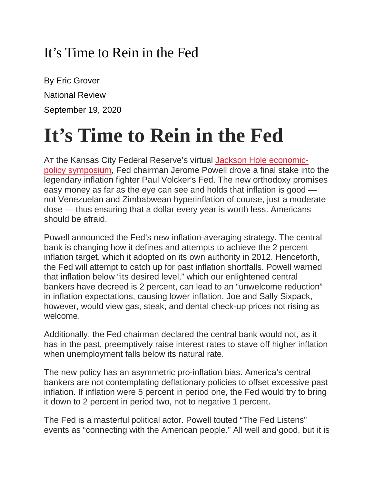## It's Time to Rein in the Fed

By Eric Grover National Review September 19, 2020

## **It's Time to Rein in the Fed**

AT the Kansas City Federal Reserve's virtual Jackson Hole [economic](https://www.federalreserve.gov/newsevents/speech/powell20200827a.htm)policy [symposium,](https://www.federalreserve.gov/newsevents/speech/powell20200827a.htm) Fed chairman Jerome Powell drove a final stake into the legendary inflation fighter Paul Volcker's Fed. The new orthodoxy promises easy money as far as the eye can see and holds that inflation is good not Venezuelan and Zimbabwean hyperinflation of course, just a moderate dose — thus ensuring that a dollar every year is worth less. Americans should be afraid.

Powell announced the Fed's new inflation-averaging strategy. The central bank is changing how it defines and attempts to achieve the 2 percent inflation target, which it adopted on its own authority in 2012. Henceforth, the Fed will attempt to catch up for past inflation shortfalls. Powell warned that inflation below "its desired level," which our enlightened central bankers have decreed is 2 percent, can lead to an "unwelcome reduction" in inflation expectations, causing lower inflation. Joe and Sally Sixpack, however, would view gas, steak, and dental check-up prices not rising as welcome.

Additionally, the Fed chairman declared the central bank would not, as it has in the past, preemptively raise interest rates to stave off higher inflation when unemployment falls below its natural rate.

The new policy has an asymmetric pro-inflation bias. America's central bankers are not contemplating deflationary policies to offset excessive past inflation. If inflation were 5 percent in period one, the Fed would try to bring it down to 2 percent in period two, not to negative 1 percent.

The Fed is a masterful political actor. Powell touted "The Fed Listens" events as "connecting with the American people." All well and good, but it is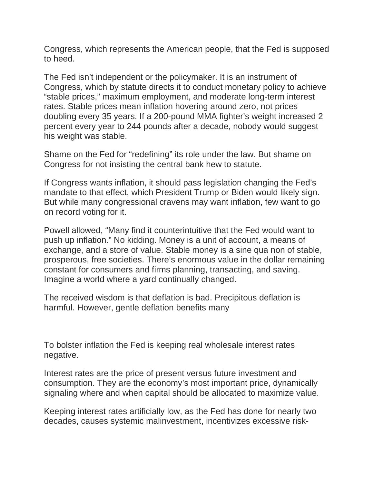Congress, which represents the American people, that the Fed is supposed to heed.

The Fed isn't independent or the policymaker. It is an instrument of Congress, which by statute directs it to conduct monetary policy to achieve "stable prices," maximum employment, and moderate long-term interest rates. Stable prices mean inflation hovering around zero, not prices doubling every 35 years. If a 200-pound MMA fighter's weight increased 2 percent every year to 244 pounds after a decade, nobody would suggest his weight was stable.

Shame on the Fed for "redefining" its role under the law. But shame on Congress for not insisting the central bank hew to statute.

If Congress wants inflation, it should pass legislation changing the Fed's mandate to that effect, which President Trump or Biden would likely sign. But while many congressional cravens may want inflation, few want to go on record voting for it.

Powell allowed, "Many find it counterintuitive that the Fed would want to push up inflation." No kidding. Money is a unit of account, a means of exchange, and a store of value. Stable money is a sine qua non of stable, prosperous, free societies. There's enormous value in the dollar remaining constant for consumers and firms planning, transacting, and saving. Imagine a world where a yard continually changed.

The received wisdom is that deflation is bad. Precipitous deflation is harmful. However, gentle deflation benefits many

To bolster inflation the Fed is keeping real wholesale interest rates negative.

Interest rates are the price of present versus future investment and consumption. They are the economy's most important price, dynamically signaling where and when capital should be allocated to maximize value.

Keeping interest rates artificially low, as the Fed has done for nearly two decades, causes systemic malinvestment, incentivizes excessive risk